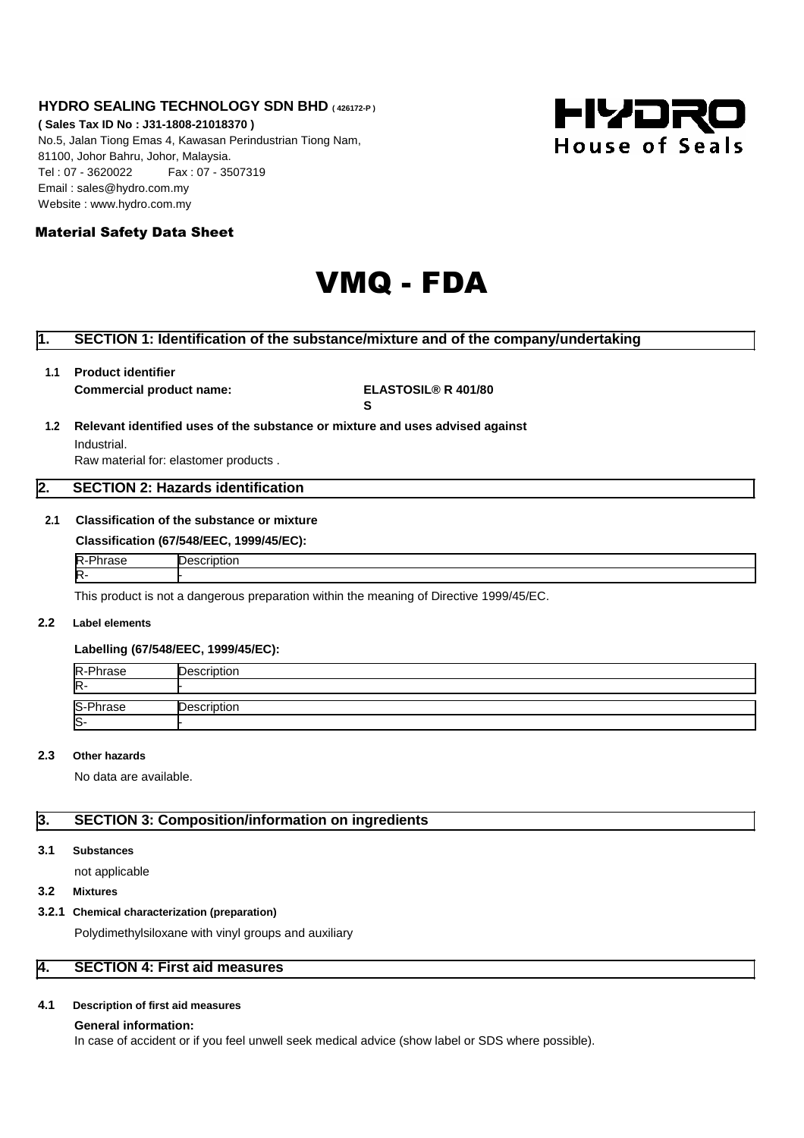## **HYDRO SEALING TECHNOLOGY SDN BHD ( 426172-P )**

**( Sales Tax ID No : J31-1808-21018370 )** No.5, Jalan Tiong Emas 4, Kawasan Perindustrian Tiong Nam, 81100, Johor Bahru, Johor, Malaysia. Tel : 07 - 3620022 Fax : 07 - 3507319 Email : sales@hydro.com.my Website : www.hydro.com.my



## Material Safety Data Sheet

# VMQ - FDA

# **1. SECTION 1: Identification of the substance/mixture and of the company/undertaking**

**1.1 Product identifier**

**Commercial product name: ELASTOSIL® R 401/80**

**S**

# **1.2 Relevant identified uses of the substance or mixture and uses advised against**

Industrial. Raw material for: elastomer products .

## **2. SECTION 2: Hazards identification**

# **2.1 Classification of the substance or mixture**

| Classification (67/548/EEC, 1999/45/EC): |                    |  |
|------------------------------------------|--------------------|--|
| R-Phrase                                 | <b>Description</b> |  |
| R-                                       |                    |  |

This product is not a dangerous preparation within the meaning of Directive 1999/45/EC.

#### **2.2 Label elements**

## **Labelling (67/548/EEC, 1999/45/EC):**

| R-Phrase | Description |
|----------|-------------|
| R-       |             |
|          |             |
| S-Phrase | Description |
| S-       |             |

## **2.3 Other hazards**

No data are available.

# **3. SECTION 3: Composition/information on ingredients**

## **3.1 Substances**

not applicable

## **3.2 Mixtures**

## **3.2.1 Chemical characterization (preparation)**

Polydimethylsiloxane with vinyl groups and auxiliary

# **4. SECTION 4: First aid measures**

### **4.1 Description of first aid measures**

#### **General information:**

In case of accident or if you feel unwell seek medical advice (show label or SDS where possible).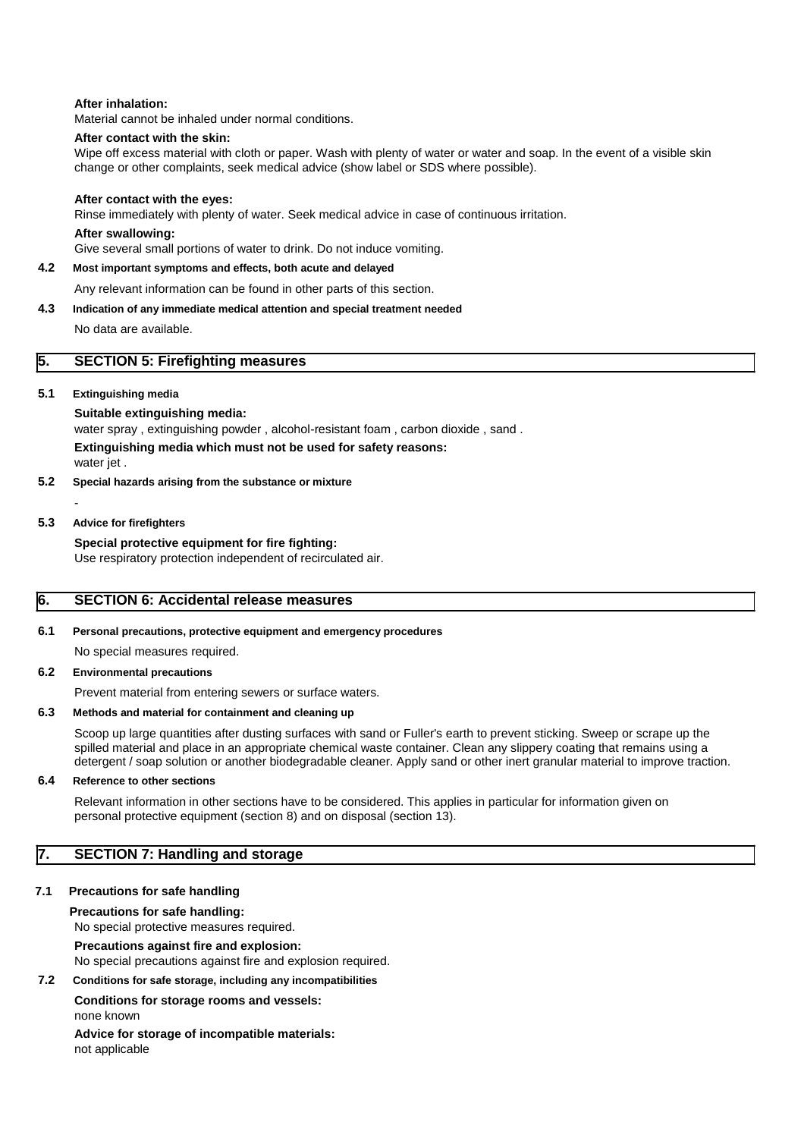## **After inhalation:**

Material cannot be inhaled under normal conditions.

## **After contact with the skin:**

Wipe off excess material with cloth or paper. Wash with plenty of water or water and soap. In the event of a visible skin change or other complaints, seek medical advice (show label or SDS where possible).

#### **After contact with the eyes:**

Rinse immediately with plenty of water. Seek medical advice in case of continuous irritation.

#### **After swallowing:**

Give several small portions of water to drink. Do not induce vomiting.

## **4.2 Most important symptoms and effects, both acute and delayed**

Any relevant information can be found in other parts of this section.

#### **4.3 Indication of any immediate medical attention and special treatment needed**

No data are available.

## **5. SECTION 5: Firefighting measures**

## **5.1 Extinguishing media**

**Suitable extinguishing media:** water spray , extinguishing powder , alcohol-resistant foam , carbon dioxide , sand . **Extinguishing media which must not be used for safety reasons:** water jet .

## **5.2 Special hazards arising from the substance or mixture**

-

## **5.3 Advice for firefighters**

**Special protective equipment for fire fighting:** Use respiratory protection independent of recirculated air.

## **6. SECTION 6: Accidental release measures**

#### **6.1 Personal precautions, protective equipment and emergency procedures**

No special measures required.

## **6.2 Environmental precautions**

Prevent material from entering sewers or surface waters.

#### **6.3 Methods and material for containment and cleaning up**

Scoop up large quantities after dusting surfaces with sand or Fuller's earth to prevent sticking. Sweep or scrape up the spilled material and place in an appropriate chemical waste container. Clean any slippery coating that remains using a detergent / soap solution or another biodegradable cleaner. Apply sand or other inert granular material to improve traction.

## **6.4 Reference to other sections**

Relevant information in other sections have to be considered. This applies in particular for information given on personal protective equipment (section 8) and on disposal (section 13).

## **7. SECTION 7: Handling and storage**

## **7.1 Precautions for safe handling**

## **Precautions for safe handling:**

No special protective measures required.

## **Precautions against fire and explosion:**

No special precautions against fire and explosion required.

## **7.2 Conditions for safe storage, including any incompatibilities**

#### **Conditions for storage rooms and vessels:** none known

**Advice for storage of incompatible materials:** not applicable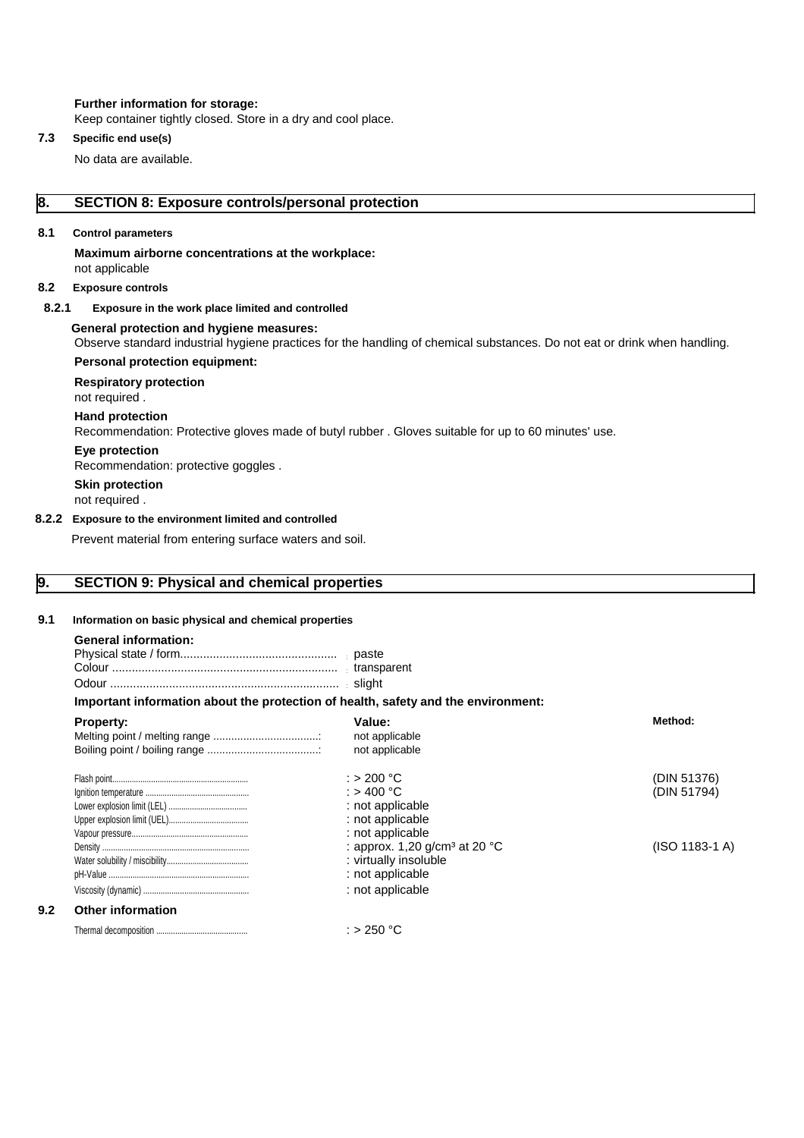## **Further information for storage:**

Keep container tightly closed. Store in a dry and cool place.

## **7.3 Specific end use(s)**

No data are available.

# **8. SECTION 8: Exposure controls/personal protection**

## **8.1 Control parameters**

**Maximum airborne concentrations at the workplace:** not applicable

## **8.2 Exposure controls**

## **8.2.1 Exposure in the work place limited and controlled**

### **General protection and hygiene measures:**

Observe standard industrial hygiene practices for the handling of chemical substances. Do not eat or drink when handling. **Personal protection equipment:**

#### **Respiratory protection**

not required .

## **Hand protection**

Recommendation: Protective gloves made of butyl rubber . Gloves suitable for up to 60 minutes' use.

## **Eye protection**

Recommendation: protective goggles .

**Skin protection**

not required .

#### **8.2.2 Exposure to the environment limited and controlled**

Prevent material from entering surface waters and soil.

## **9. SECTION 9: Physical and chemical properties**

# **9.1 Information on basic physical and chemical properties**

| <b>General information:</b> |
|-----------------------------|
|-----------------------------|

**9.2** 

## **Important information about the protection of health, safety and the environment:**

| <b>Property:</b>         | Value:<br>not applicable          | Method:        |
|--------------------------|-----------------------------------|----------------|
|                          | not applicable                    |                |
|                          | : > 200 °C                        | (DIN 51376)    |
|                          | : > 400 °C                        | (DIN 51794)    |
|                          | : not applicable                  |                |
|                          | : not applicable                  |                |
|                          | : not applicable                  |                |
|                          | : approx. 1,20 $q/cm3$ at 20 $°C$ | (ISO 1183-1 A) |
|                          | : virtually insoluble             |                |
|                          | : not applicable                  |                |
|                          | : not applicable                  |                |
| <b>Other information</b> |                                   |                |
|                          | : > 250 °C                        |                |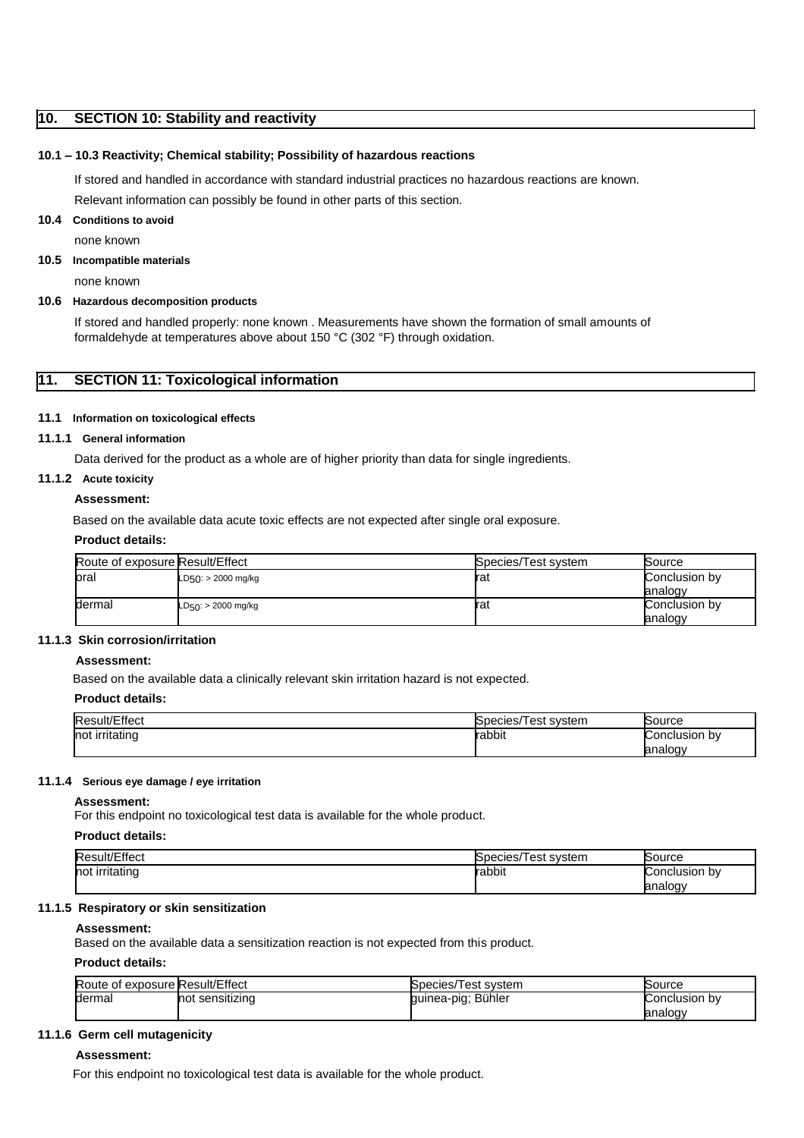## **10. SECTION 10: Stability and reactivity**

## **10.1 – 10.3 Reactivity; Chemical stability; Possibility of hazardous reactions**

If stored and handled in accordance with standard industrial practices no hazardous reactions are known.

Relevant information can possibly be found in other parts of this section.

#### **10.4 Conditions to avoid**

none known

#### **10.5 Incompatible materials**

none known

## **10.6 Hazardous decomposition products**

If stored and handled properly: none known . Measurements have shown the formation of small amounts of formaldehyde at temperatures above about 150 °C (302 °F) through oxidation.

## **11. SECTION 11: Toxicological information**

## **11.1 Information on toxicological effects**

# **11.1.1 General information**

Data derived for the product as a whole are of higher priority than data for single ingredients.

## **11.1.2 Acute toxicity**

## **Assessment:**

Based on the available data acute toxic effects are not expected after single oral exposure.

## **Product details:**

| Route of exposure Result/Effect |                          | Species/Test system | Source                   |
|---------------------------------|--------------------------|---------------------|--------------------------|
| loral                           | $LD50: > 2000$ mg/kg     | rat                 | Conclusion by<br>analogy |
| dermal                          | $LD_{50}$ : > 2000 mg/kg | rat                 | Conclusion by<br>analogy |

## **11.1.3 Skin corrosion/irritation**

## **Assessment:**

Based on the available data a clinically relevant skin irritation hazard is not expected.

#### **Product details:**

| <b>IR</b>                 | svstem<br>cies/<br>$\alpha$<br>பை | iource        |
|---------------------------|-----------------------------------|---------------|
| Inot<br><u>ırritatınd</u> | rabbit                            | ∶onclusion b∨ |
|                           |                                   | analogy       |

### **11.1.4 Serious eye damage / eye irritation**

## **Assessment:**

For this endpoint no toxicological test data is available for the whole product.

## **Product details:**

| $\sim$<br>/Effect<br>ult/ | svstem<br><b>pecies</b><br>⊺est<br>οv | Source            |
|---------------------------|---------------------------------------|-------------------|
| ∶ırrıtatınd<br>not        | rabbit                                | Conclusion∟<br>b٧ |
|                           |                                       | analogy<br>o.     |

## **11.1.5 Respiratory or skin sensitization**

#### **Assessment:**

Based on the available data a sensitization reaction is not expected from this product.

## **Product details:**

| Route of exposure Result/Effect |                 | Species/Test system | Source        |
|---------------------------------|-----------------|---------------------|---------------|
| dermal                          | not sensitizina | guinea-pig; Bühler  | Conclusion by |
|                                 |                 |                     | analogy       |

## **11.1.6 Germ cell mutagenicity**

## **Assessment:**

For this endpoint no toxicological test data is available for the whole product.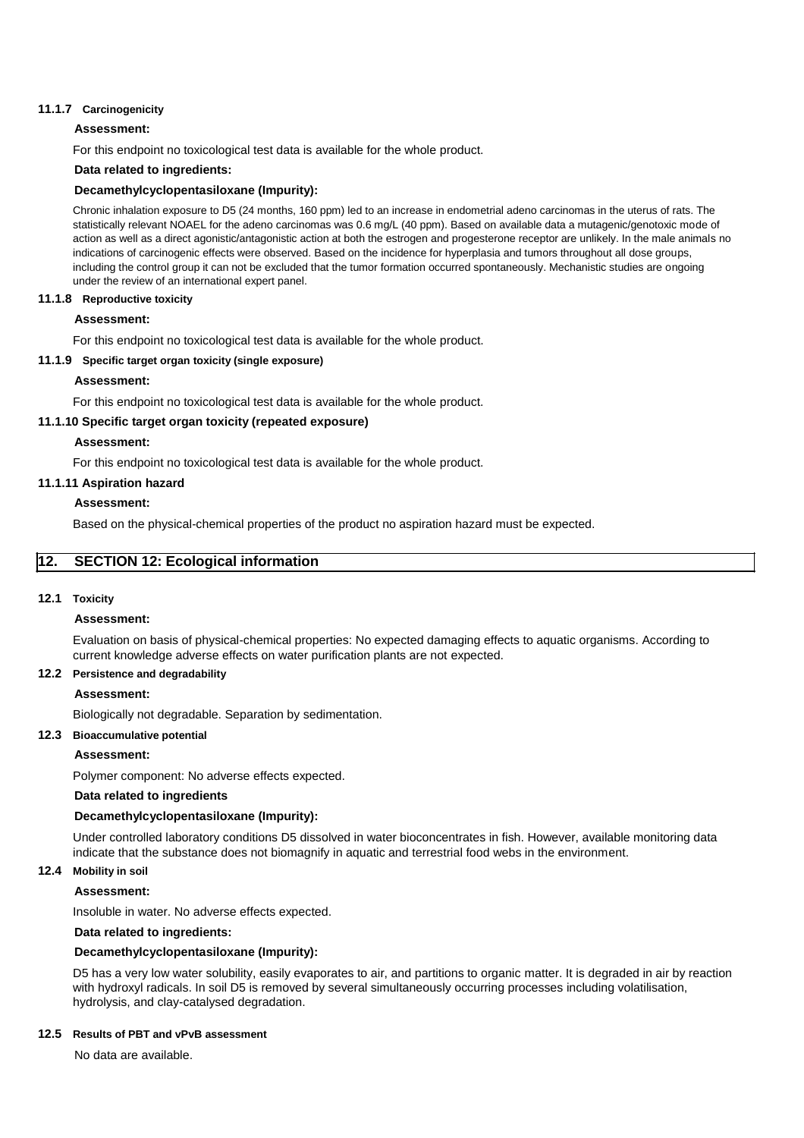## **11.1.7 Carcinogenicity**

## **Assessment:**

For this endpoint no toxicological test data is available for the whole product.

## **Data related to ingredients:**

## **Decamethylcyclopentasiloxane (Impurity):**

Chronic inhalation exposure to D5 (24 months, 160 ppm) led to an increase in endometrial adeno carcinomas in the uterus of rats. The statistically relevant NOAEL for the adeno carcinomas was 0.6 mg/L (40 ppm). Based on available data a mutagenic/genotoxic mode of action as well as a direct agonistic/antagonistic action at both the estrogen and progesterone receptor are unlikely. In the male animals no indications of carcinogenic effects were observed. Based on the incidence for hyperplasia and tumors throughout all dose groups, including the control group it can not be excluded that the tumor formation occurred spontaneously. Mechanistic studies are ongoing under the review of an international expert panel.

#### **11.1.8 Reproductive toxicity**

## **Assessment:**

For this endpoint no toxicological test data is available for the whole product.

## **11.1.9 Specific target organ toxicity (single exposure)**

## **Assessment:**

For this endpoint no toxicological test data is available for the whole product.

## **11.1.10 Specific target organ toxicity (repeated exposure)**

## **Assessment:**

For this endpoint no toxicological test data is available for the whole product.

## **11.1.11 Aspiration hazard**

## **Assessment:**

Based on the physical-chemical properties of the product no aspiration hazard must be expected.

## **12. SECTION 12: Ecological information**

## **12.1 Toxicity**

#### **Assessment:**

Evaluation on basis of physical-chemical properties: No expected damaging effects to aquatic organisms. According to current knowledge adverse effects on water purification plants are not expected.

## **12.2 Persistence and degradability**

## **Assessment:**

Biologically not degradable. Separation by sedimentation.

## **12.3 Bioaccumulative potential**

## **Assessment:**

Polymer component: No adverse effects expected.

## **Data related to ingredients**

## **Decamethylcyclopentasiloxane (Impurity):**

Under controlled laboratory conditions D5 dissolved in water bioconcentrates in fish. However, available monitoring data indicate that the substance does not biomagnify in aquatic and terrestrial food webs in the environment.

#### **12.4 Mobility in soil**

#### **Assessment:**

Insoluble in water. No adverse effects expected.

## **Data related to ingredients:**

## **Decamethylcyclopentasiloxane (Impurity):**

D5 has a very low water solubility, easily evaporates to air, and partitions to organic matter. It is degraded in air by reaction with hydroxyl radicals. In soil D5 is removed by several simultaneously occurring processes including volatilisation, hydrolysis, and clay-catalysed degradation.

#### **12.5 Results of PBT and vPvB assessment**

No data are available.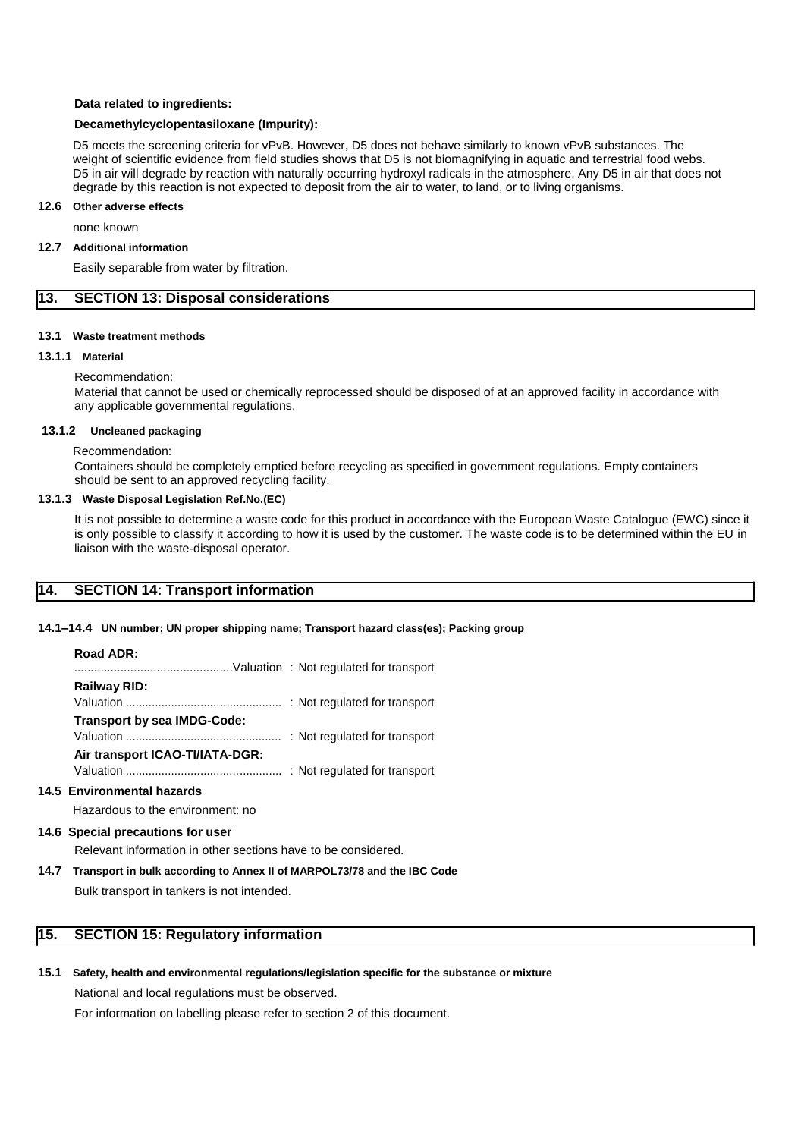#### **Data related to ingredients:**

### **Decamethylcyclopentasiloxane (Impurity):**

D5 meets the screening criteria for vPvB. However, D5 does not behave similarly to known vPvB substances. The weight of scientific evidence from field studies shows that D5 is not biomagnifying in aquatic and terrestrial food webs. D5 in air will degrade by reaction with naturally occurring hydroxyl radicals in the atmosphere. Any D5 in air that does not degrade by this reaction is not expected to deposit from the air to water, to land, or to living organisms.

#### **12.6 Other adverse effects**

none known

#### **12.7 Additional information**

Easily separable from water by filtration.

# **13. SECTION 13: Disposal considerations**

#### **13.1 Waste treatment methods**

#### **13.1.1 Material**

### Recommendation:

Material that cannot be used or chemically reprocessed should be disposed of at an approved facility in accordance with any applicable governmental regulations.

#### **13.1.2 Uncleaned packaging**

Recommendation:

Containers should be completely emptied before recycling as specified in government regulations. Empty containers should be sent to an approved recycling facility.

#### **13.1.3 Waste Disposal Legislation Ref.No.(EC)**

It is not possible to determine a waste code for this product in accordance with the European Waste Catalogue (EWC) since it is only possible to classify it according to how it is used by the customer. The waste code is to be determined within the EU in liaison with the waste-disposal operator.

## **14. SECTION 14: Transport information**

#### **14.1–14.4 UN number; UN proper shipping name; Transport hazard class(es); Packing group**

#### **Road ADR:**

| Railway RID:                    |  |
|---------------------------------|--|
|                                 |  |
| Transport by sea IMDG-Code:     |  |
|                                 |  |
| Air transport ICAO-TI/IATA-DGR: |  |
|                                 |  |

## **14.5 Environmental hazards**

Hazardous to the environment: no

#### **14.6 Special precautions for user**

Relevant information in other sections have to be considered.

**14.7 Transport in bulk according to Annex II of MARPOL73/78 and the IBC Code**

Bulk transport in tankers is not intended.

## **15. SECTION 15: Regulatory information**

**15.1 Safety, health and environmental regulations/legislation specific for the substance or mixture**

National and local regulations must be observed.

For information on labelling please refer to section 2 of this document.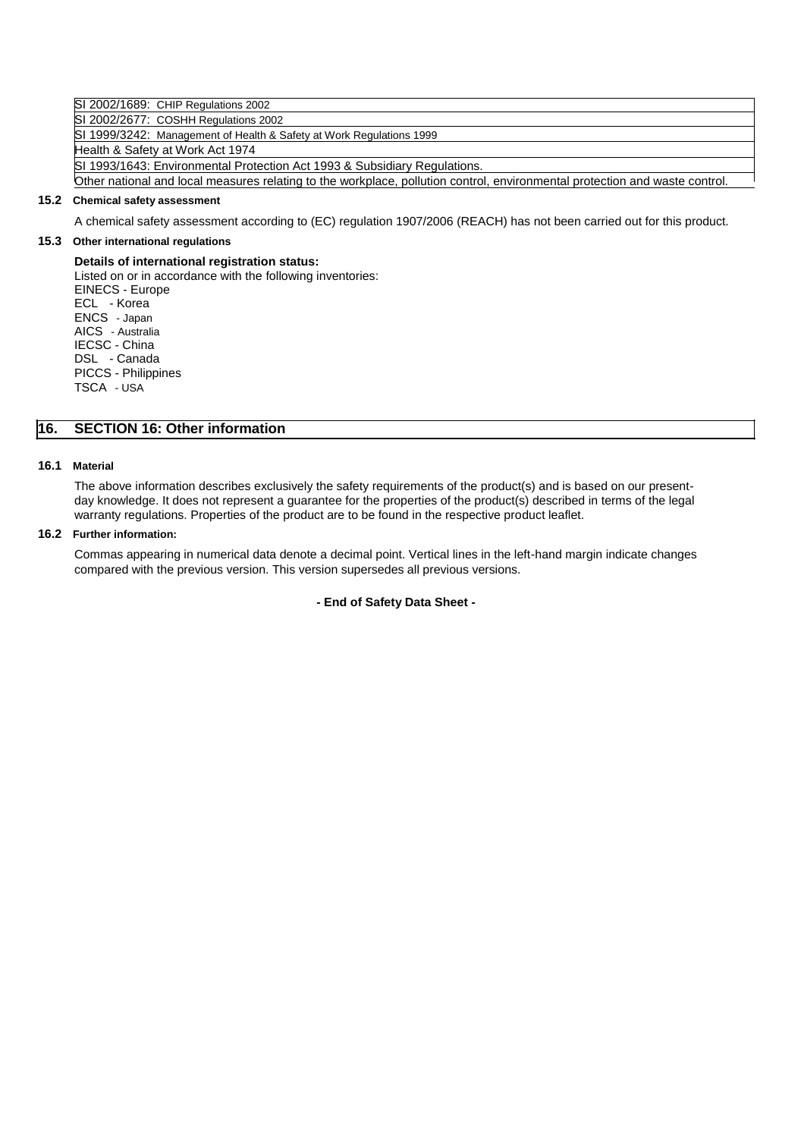SI 2002/1689: CHIP Regulations 2002

SI 2002/2677: COSHH Regulations 2002

SI 1999/3242: Management of Health & Safety at Work Regulations 1999 Health & Safety at Work Act 1974 SI 1993/1643: Environmental Protection Act 1993 & Subsidiary Regulations. Other national and local measures relating to the workplace, pollution control, environmental protection and waste control.

## **15.2 Chemical safety assessment**

A chemical safety assessment according to (EC) regulation 1907/2006 (REACH) has not been carried out for this product.

## **15.3 Other international regulations**

## **Details of international registration status:**

Listed on or in accordance with the following inventories: EINECS - Europe ECL - Korea ENCS - Japan AICS - Australia IECSC - China DSL - Canada PICCS - Philippines TSCA - USA

# **16. SECTION 16: Other information**

## **16.1 Material**

The above information describes exclusively the safety requirements of the product(s) and is based on our presentday knowledge. It does not represent a guarantee for the properties of the product(s) described in terms of the legal warranty regulations. Properties of the product are to be found in the respective product leaflet.

## **16.2 Further information:**

Commas appearing in numerical data denote a decimal point. Vertical lines in the left-hand margin indicate changes compared with the previous version. This version supersedes all previous versions.

## **- End of Safety Data Sheet -**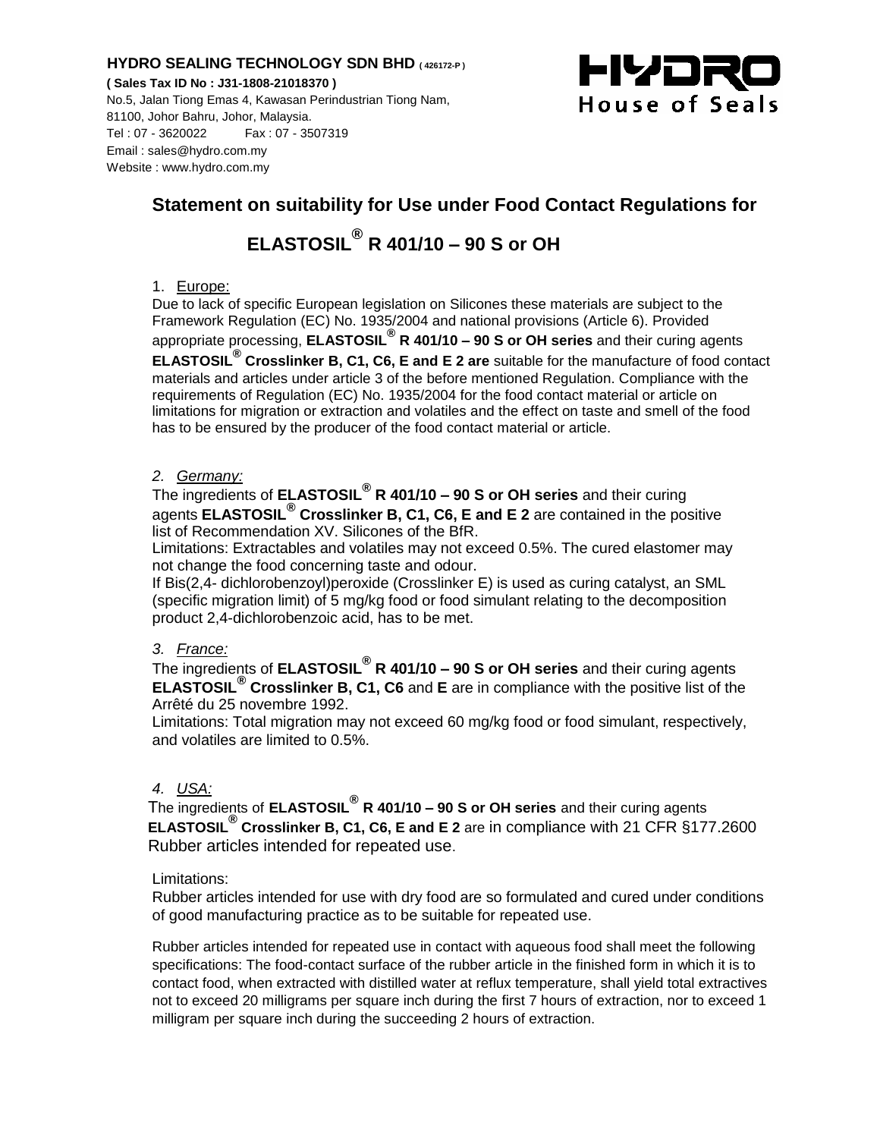# **HYDRO SEALING TECHNOLOGY SDN BHD ( 426172-P )**

**( Sales Tax ID No : J31-1808-21018370 )** No.5, Jalan Tiong Emas 4, Kawasan Perindustrian Tiong Nam, 81100, Johor Bahru, Johor, Malaysia. Tel : 07 - 3620022 Fax : 07 - 3507319 Email : sales@hydro.com.my Website : www.hydro.com.my



# **Statement on suitability for Use under Food Contact Regulations for ELASTOSIL® R 401/10 – 90 S or OH**

# 1. Europe:

Due to lack of specific European legislation on Silicones these materials are subject to the Framework Regulation (EC) No. 1935/2004 and national provisions (Article 6). Provided appropriate processing, **ELASTOSIL® R 401/10 – 90 S or OH series** and their curing agents **ELASTOSIL® Crosslinker B, C1, C6, E and E 2 are** suitable for the manufacture of food contact materials and articles under article 3 of the before mentioned Regulation. Compliance with the requirements of Regulation (EC) No. 1935/2004 for the food contact material or article on limitations for migration or extraction and volatiles and the effect on taste and smell of the food has to be ensured by the producer of the food contact material or article.

# *2. Germany:*

The ingredients of **ELASTOSIL® R 401/10 – 90 S or OH series** and their curing agents **ELASTOSIL® Crosslinker B, C1, C6, E and E 2** are contained in the positive list of Recommendation XV. Silicones of the BfR.

Limitations: Extractables and volatiles may not exceed 0.5%. The cured elastomer may not change the food concerning taste and odour.

If Bis(2,4- dichlorobenzoyl)peroxide (Crosslinker E) is used as curing catalyst, an SML (specific migration limit) of 5 mg/kg food or food simulant relating to the decomposition product 2,4-dichlorobenzoic acid, has to be met.

# *3. France:*

The ingredients of **ELASTOSIL® R 401/10 – 90 S or OH series** and their curing agents **ELASTOSIL® Crosslinker B, C1, C6** and **E** are in compliance with the positive list of the Arrêté du 25 novembre 1992.

Limitations: Total migration may not exceed 60 mg/kg food or food simulant, respectively, and volatiles are limited to 0.5%.

# *4. USA:*

The ingredients of **ELASTOSIL® R 401/10 – 90 S or OH series** and their curing agents **ELASTOSIL® Crosslinker B, C1, C6, E and E 2** are in compliance with 21 CFR §177.2600 Rubber articles intended for repeated use.

# Limitations:

Rubber articles intended for use with dry food are so formulated and cured under conditions of good manufacturing practice as to be suitable for repeated use.

Rubber articles intended for repeated use in contact with aqueous food shall meet the following specifications: The food-contact surface of the rubber article in the finished form in which it is to contact food, when extracted with distilled water at reflux temperature, shall yield total extractives not to exceed 20 milligrams per square inch during the first 7 hours of extraction, nor to exceed 1 milligram per square inch during the succeeding 2 hours of extraction.